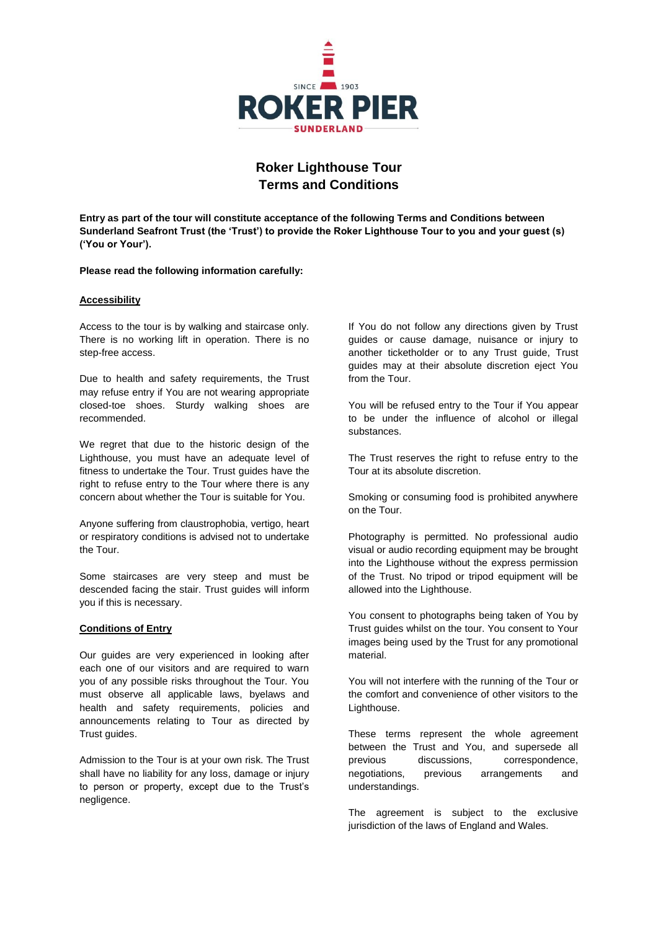

# **Roker Lighthouse Tour Terms and Conditions**

**Entry as part of the tour will constitute acceptance of the following Terms and Conditions between Sunderland Seafront Trust (the 'Trust') to provide the Roker Lighthouse Tour to you and your guest (s) ('You or Your').** 

## **Please read the following information carefully:**

## **Accessibility**

Access to the tour is by walking and staircase only. There is no working lift in operation. There is no step-free access.

Due to health and safety requirements, the Trust may refuse entry if You are not wearing appropriate closed-toe shoes. Sturdy walking shoes are recommended.

We regret that due to the historic design of the Lighthouse, you must have an adequate level of fitness to undertake the Tour. Trust guides have the right to refuse entry to the Tour where there is any concern about whether the Tour is suitable for You.

Anyone suffering from claustrophobia, vertigo, heart or respiratory conditions is advised not to undertake the Tour.

Some staircases are very steep and must be descended facing the stair. Trust guides will inform you if this is necessary.

#### **Conditions of Entry**

Our guides are very experienced in looking after each one of our visitors and are required to warn you of any possible risks throughout the Tour. You must observe all applicable laws, byelaws and health and safety requirements, policies and announcements relating to Tour as directed by Trust guides.

Admission to the Tour is at your own risk. The Trust shall have no liability for any loss, damage or injury to person or property, except due to the Trust's negligence.

If You do not follow any directions given by Trust guides or cause damage, nuisance or injury to another ticketholder or to any Trust guide, Trust guides may at their absolute discretion eject You from the Tour.

You will be refused entry to the Tour if You appear to be under the influence of alcohol or illegal substances.

The Trust reserves the right to refuse entry to the Tour at its absolute discretion.

Smoking or consuming food is prohibited anywhere on the Tour.

Photography is permitted. No professional audio visual or audio recording equipment may be brought into the Lighthouse without the express permission of the Trust. No tripod or tripod equipment will be allowed into the Lighthouse.

You consent to photographs being taken of You by Trust guides whilst on the tour. You consent to Your images being used by the Trust for any promotional material.

You will not interfere with the running of the Tour or the comfort and convenience of other visitors to the Lighthouse.

These terms represent the whole agreement between the Trust and You, and supersede all previous discussions, correspondence, negotiations, previous arrangements and understandings.

The agreement is subject to the exclusive jurisdiction of the laws of England and Wales.